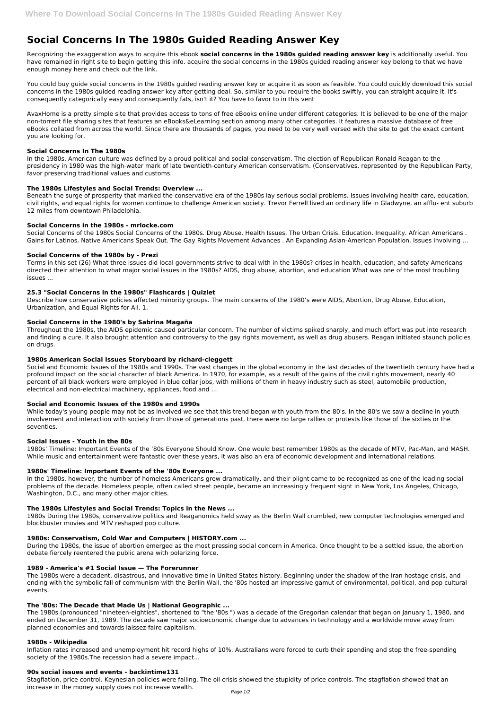# **Social Concerns In The 1980s Guided Reading Answer Key**

Recognizing the exaggeration ways to acquire this ebook **social concerns in the 1980s guided reading answer key** is additionally useful. You have remained in right site to begin getting this info. acquire the social concerns in the 1980s guided reading answer key belong to that we have enough money here and check out the link.

You could buy guide social concerns in the 1980s guided reading answer key or acquire it as soon as feasible. You could quickly download this social concerns in the 1980s guided reading answer key after getting deal. So, similar to you require the books swiftly, you can straight acquire it. It's consequently categorically easy and consequently fats, isn't it? You have to favor to in this vent

AvaxHome is a pretty simple site that provides access to tons of free eBooks online under different categories. It is believed to be one of the major non-torrent file sharing sites that features an eBooks&eLearning section among many other categories. It features a massive database of free eBooks collated from across the world. Since there are thousands of pages, you need to be very well versed with the site to get the exact content you are looking for.

# **Social Concerns In The 1980s**

In the 1980s, American culture was defined by a proud political and social conservatism. The election of Republican Ronald Reagan to the presidency in 1980 was the high-water mark of late twentieth-century American conservatism. (Conservatives, represented by the Republican Party, favor preserving traditional values and customs.

# **The 1980s Lifestyles and Social Trends: Overview ...**

Beneath the surge of prosperity that marked the conservative era of the 1980s lay serious social problems. Issues involving health care, education, civil rights, and equal rights for women continue to challenge American society. Trevor Ferrell lived an ordinary life in Gladwyne, an afflu- ent suburb 12 miles from downtown Philadelphia.

# **Social Concerns in the 1980s - mrlocke.com**

Social Concerns of the 1980s Social Concerns of the 1980s. Drug Abuse. Health Issues. The Urban Crisis. Education. Inequality. African Americans . Gains for Latinos. Native Americans Speak Out. The Gay Rights Movement Advances . An Expanding Asian-American Population. Issues involving ...

# **Social Concerns of the 1980s by - Prezi**

Terms in this set (26) What three issues did local governments strive to deal with in the 1980s? crises in health, education, and safety Americans directed their attention to what major social issues in the 1980s? AIDS, drug abuse, abortion, and education What was one of the most troubling issues ...

# **25.3 "Social Concerns in the 1980s" Flashcards | Quizlet**

Describe how conservative policies affected minority groups. The main concerns of the 1980's were AIDS, Abortion, Drug Abuse, Education, Urbanization, and Equal Rights for All. 1.

## **Social Concerns in the 1980's by Sabrina Magaña**

Throughout the 1980s, the AIDS epidemic caused particular concern. The number of victims spiked sharply, and much effort was put into research and finding a cure. It also brought attention and controversy to the gay rights movement, as well as drug abusers. Reagan initiated staunch policies on drugs.

## **1980s American Social Issues Storyboard by richard-cleggett**

Social and Economic Issues of the 1980s and 1990s. The vast changes in the global economy in the last decades of the twentieth century have had a profound impact on the social character of black America. In 1970, for example, as a result of the gains of the civil rights movement, nearly 40 percent of all black workers were employed in blue collar jobs, with millions of them in heavy industry such as steel, automobile production, electrical and non-electrical machinery, appliances, food and ...

## **Social and Economic Issues of the 1980s and 1990s**

While today's young people may not be as involved we see that this trend began with youth from the 80's. In the 80's we saw a decline in youth involvement and interaction with society from those of generations past, there were no large rallies or protests like those of the sixties or the seventies.

## **Social Issues - Youth in the 80s**

1980s' Timeline: Important Events of the '80s Everyone Should Know. One would best remember 1980s as the decade of MTV, Pac-Man, and MASH. While music and entertainment were fantastic over these years, it was also an era of economic development and international relations.

## **1980s' Timeline: Important Events of the '80s Everyone ...**

In the 1980s, however, the number of homeless Americans grew dramatically, and their plight came to be recognized as one of the leading social problems of the decade. Homeless people, often called street people, became an increasingly frequent sight in New York, Los Angeles, Chicago, Washington, D.C., and many other major cities.

## **The 1980s Lifestyles and Social Trends: Topics in the News ...**

1980s During the 1980s, conservative politics and Reaganomics held sway as the Berlin Wall crumbled, new computer technologies emerged and blockbuster movies and MTV reshaped pop culture.

# **1980s: Conservatism, Cold War and Computers | HISTORY.com ...**

During the 1980s, the issue of abortion emerged as the most pressing social concern in America. Once thought to be a settled issue, the abortion debate fiercely reentered the public arena with polarizing force.

#### **1989 - America's #1 Social Issue — The Forerunner**

The 1980s were a decadent, disastrous, and innovative time in United States history. Beginning under the shadow of the Iran hostage crisis, and ending with the symbolic fall of communism with the Berlin Wall, the '80s hosted an impressive gamut of environmental, political, and pop cultural events.

#### **The '80s: The Decade that Made Us | National Geographic ...**

The 1980s (pronounced "nineteen-eighties", shortened to "the '80s ") was a decade of the Gregorian calendar that began on January 1, 1980, and ended on December 31, 1989. The decade saw major socioeconomic change due to advances in technology and a worldwide move away from planned economies and towards laissez-faire capitalism.

#### **1980s - Wikipedia**

Inflation rates increased and unemployment hit record highs of 10%. Australians were forced to curb their spending and stop the free-spending society of the 1980s.The recession had a severe impact...

#### **90s social issues and events - backintime131**

Stagflation, price control. Keynesian policies were failing. The oil crisis showed the stupidity of price controls. The stagflation showed that an increase in the money supply does not increase wealth.